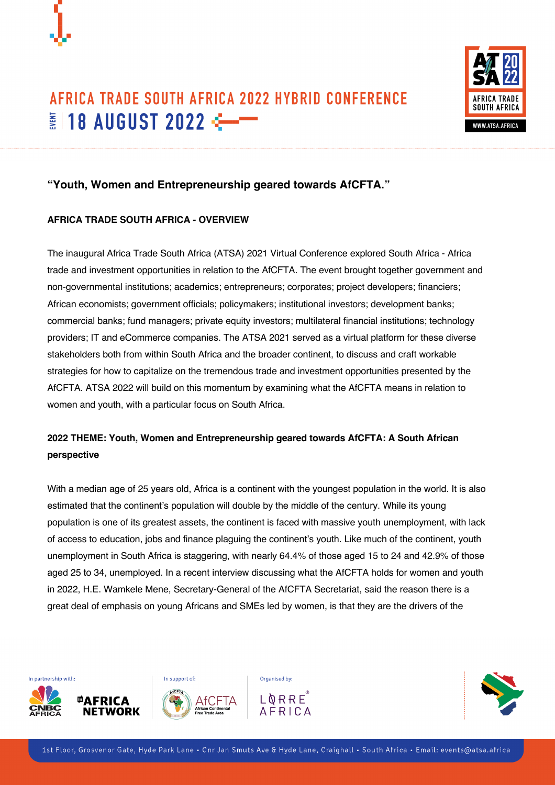



# **"Youth, Women and Entrepreneurship geared towards AfCFTA."**

# **AFRICA TRADE SOUTH AFRICA - OVERVIEW**

The inaugural Africa Trade South Africa (ATSA) 2021 Virtual Conference explored South Africa - Africa trade and investment opportunities in relation to the AfCFTA. The event brought together government and non-governmental institutions; academics; entrepreneurs; corporates; project developers; financiers; African economists; government officials; policymakers; institutional investors; development banks; commercial banks; fund managers; private equity investors; multilateral financial institutions; technology providers; IT and eCommerce companies. The ATSA 2021 served as a virtual platform for these diverse stakeholders both from within South Africa and the broader continent, to discuss and craft workable strategies for how to capitalize on the tremendous trade and investment opportunities presented by the AfCFTA. ATSA 2022 will build on this momentum by examining what the AfCFTA means in relation to women and youth, with a particular focus on South Africa.

# **2022 THEME: Youth, Women and Entrepreneurship geared towards AfCFTA: A South African perspective**

With a median age of 25 years old, Africa is a continent with the youngest population in the world. It is also estimated that the continent's population will double by the middle of the century. While its young population is one of its greatest assets, the continent is faced with massive youth unemployment, with lack of access to education, jobs and finance plaguing the continent's youth. Like much of the continent, youth unemployment in South Africa is staggering, with nearly 64.4% of those aged 15 to 24 and 42.9% of those aged 25 to 34, unemployed. In a recent interview discussing what the AfCFTA holds for women and youth in 2022, H.E. Wamkele Mene, Secretary-General of the AfCFTA Secretariat, said the reason there is a great deal of emphasis on young Africans and SMEs led by women, is that they are the drivers of the



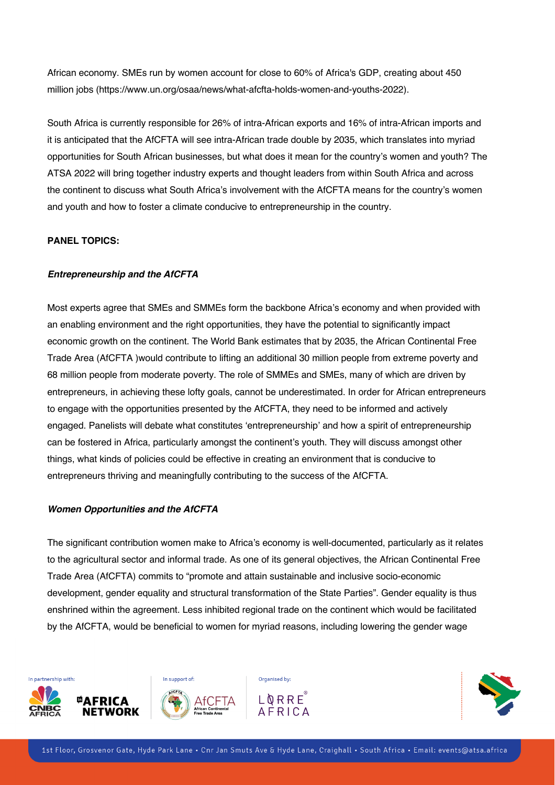African economy. SMEs run by women account for close to 60% of Africa's GDP, creating about 450 million jobs (https://www.un.org/osaa/news/what-afcfta-holds-women-and-youths-2022).

South Africa is currently responsible for 26% of intra-African exports and 16% of intra-African imports and it is anticipated that the AfCFTA will see intra-African trade double by 2035, which translates into myriad opportunities for South African businesses, but what does it mean for the country's women and youth? The ATSA 2022 will bring together industry experts and thought leaders from within South Africa and across the continent to discuss what South Africa's involvement with the AfCFTA means for the country's women and youth and how to foster a climate conducive to entrepreneurship in the country.

## **PANEL TOPICS:**

## *Entrepreneurship and the AfCFTA*

Most experts agree that SMEs and SMMEs form the backbone Africa's economy and when provided with an enabling environment and the right opportunities, they have the potential to significantly impact economic growth on the continent. The World Bank estimates that by 2035, the African Continental Free Trade Area (AfCFTA )would contribute to lifting an additional 30 million people from extreme poverty and 68 million people from moderate poverty. The role of SMMEs and SMEs, many of which are driven by entrepreneurs, in achieving these lofty goals, cannot be underestimated. In order for African entrepreneurs to engage with the opportunities presented by the AfCFTA, they need to be informed and actively engaged. Panelists will debate what constitutes 'entrepreneurship' and how a spirit of entrepreneurship can be fostered in Africa, particularly amongst the continent's youth. They will discuss amongst other things, what kinds of policies could be effective in creating an environment that is conducive to entrepreneurs thriving and meaningfully contributing to the success of the AfCFTA.

### *Women Opportunities and the AfCFTA*

The significant contribution women make to Africa's economy is well-documented, particularly as it relates to the agricultural sector and informal trade. As one of its general objectives, the African Continental Free Trade Area (AfCFTA) commits to "promote and attain sustainable and inclusive socio-economic development, gender equality and structural transformation of the State Parties". Gender equality is thus enshrined within the agreement. Less inhibited regional trade on the continent which would be facilitated by the AfCFTA, would be beneficial to women for myriad reasons, including lowering the gender wage



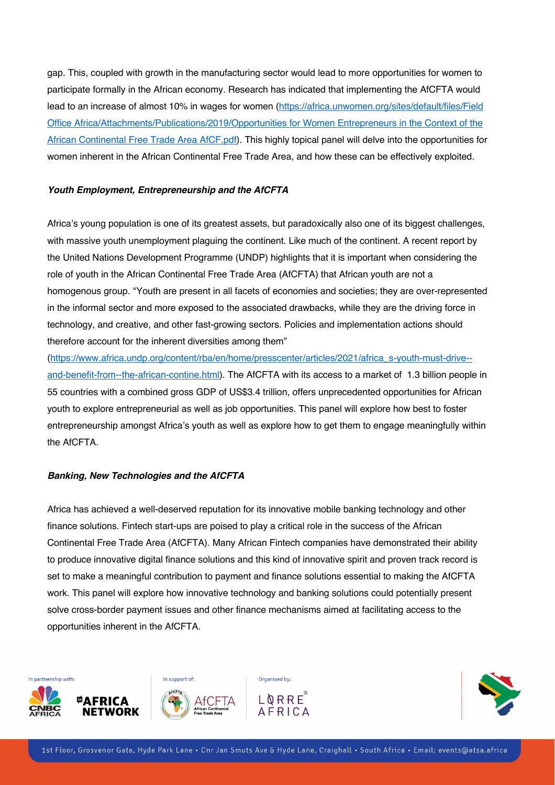gap. This, coupled with growth in the manufacturing sector would lead to more opportunities for women to participate formally in the African economy. Research has indicated that implementing the AfCFTA would lead to an increase of almost 10% in wages for women (https://africa.unwomen.org/sites/default/files/Field Office Africa/Attachments/Publications/2019/Opportunities for Women Entrepreneurs in the Context of the African Continental Free Trade Area AfCF.pdf). This highly topical panel will delve into the opportunities for women inherent in the African Continental Free Trade Area, and how these can be effectively exploited.

#### *Youth Employment, Entrepreneurship and the AfCFTA*

Africa's young population is one of its greatest assets, but paradoxically also one of its biggest challenges, with massive youth unemployment plaguing the continent. Like much of the continent. A recent report by the United Nations Development Programme (UNDP) highlights that it is important when considering the role of youth in the African Continental Free Trade Area (AfCFTA) that African youth are not a homogenous group. "Youth are present in all facets of economies and societies; they are over-represented in the informal sector and more exposed to the associated drawbacks, while they are the driving force in technology, and creative, and other fast-growing sectors. Policies and implementation actions should therefore account for the inherent diversities among them"

(https://www.africa.undp.org/content/rba/en/home/presscenter/articles/2021/africa\_s-youth-must-drive- and-benefit-from--the-african-contine.html). The AfCFTA with its access to a market of 1.3 billion people in 55 countries with a combined gross GDP of US\$3.4 trillion, offers unprecedented opportunities for African youth to explore entrepreneurial as well as job opportunities. This panel will explore how best to foster entrepreneurship amongst Africa's youth as well as explore how to get them to engage meaningfully within the AfCFTA.

### *Banking, New Technologies and the AfCFTA*

Africa has achieved a well-deserved reputation for its innovative mobile banking technology and other finance solutions. Fintech start-ups are poised to play a critical role in the success of the African Continental Free Trade Area (AfCFTA). Many African Fintech companies have demonstrated their ability to produce innovative digital finance solutions and this kind of innovative spirit and proven track record is set to make a meaningful contribution to payment and finance solutions essential to making the AfCFTA work. This panel will explore how innovative technology and banking solutions could potentially present solve cross-border payment issues and other finance mechanisms aimed at facilitating access to the opportunities inherent in the AfCFTA.